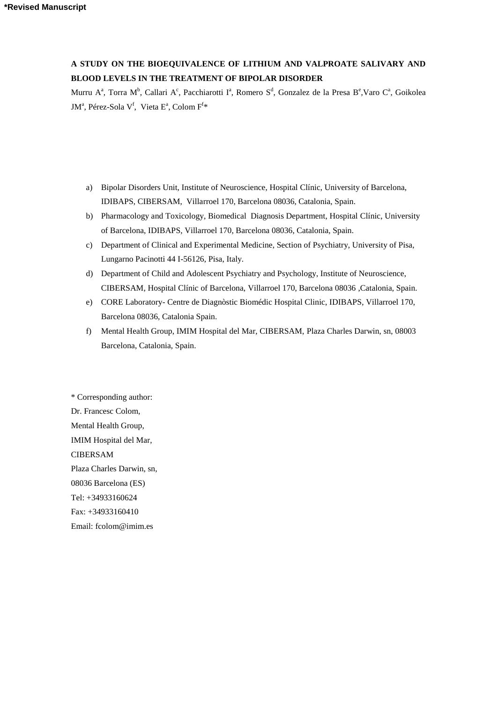# **A STUDY ON THE BIOEQUIVALENCE OF LITHIUM AND VALPROATE SALIVARY AND BLOOD LEVELS IN THE TREATMENT OF BIPOLAR DISORDER**

Murru A<sup>a</sup>, Torra M<sup>b</sup>, Callari A<sup>c</sup>, Pacchiarotti I<sup>a</sup>, Romero S<sup>d</sup>, Gonzalez de la Presa B<sup>e</sup>, Varo C<sup>a</sup>, Goikolea JM<sup>a</sup>, Pérez-Sola V<sup>f</sup>, Vieta E<sup>a</sup>, Colom F<sup>f\*</sup>

- a) Bipolar Disorders Unit, Institute of Neuroscience, Hospital Clínic, University of Barcelona, IDIBAPS, CIBERSAM, Villarroel 170, Barcelona 08036, Catalonia, Spain.
- b) Pharmacology and Toxicology, Biomedical Diagnosis Department, Hospital Clínic, University of Barcelona, IDIBAPS, Villarroel 170, Barcelona 08036, Catalonia, Spain.
- c) Department of Clinical and Experimental Medicine, Section of Psychiatry, University of Pisa, Lungarno Pacinotti 44 I-56126, Pisa, Italy.
- d) Department of Child and Adolescent Psychiatry and Psychology, Institute of Neuroscience, CIBERSAM, Hospital Clínic of Barcelona, Villarroel 170, Barcelona 08036 ,Catalonia, Spain.
- e) CORE Laboratory- Centre de Diagnòstic Biomédic Hospital Clinic, IDIBAPS, Villarroel 170, Barcelona 08036, Catalonia Spain.
- f) Mental Health Group, IMIM Hospital del Mar, CIBERSAM, Plaza Charles Darwin, sn, 08003 Barcelona, Catalonia, Spain.

\* Corresponding author: Dr. Francesc Colom, Mental Health Group, IMIM Hospital del Mar, CIBERSAM Plaza Charles Darwin, sn, 08036 Barcelona (ES) Tel: +34933160624 Fax: +34933160410 Email: fcolom@imim.es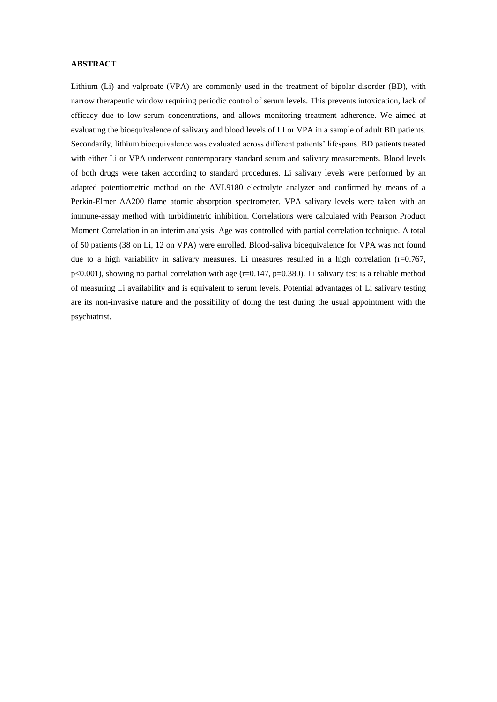# **ABSTRACT**

Lithium (Li) and valproate (VPA) are commonly used in the treatment of bipolar disorder (BD), with narrow therapeutic window requiring periodic control of serum levels. This prevents intoxication, lack of efficacy due to low serum concentrations, and allows monitoring treatment adherence. We aimed at evaluating the bioequivalence of salivary and blood levels of LI or VPA in a sample of adult BD patients. Secondarily, lithium bioequivalence was evaluated across different patients' lifespans. BD patients treated with either Li or VPA underwent contemporary standard serum and salivary measurements. Blood levels of both drugs were taken according to standard procedures. Li salivary levels were performed by an adapted potentiometric method on the AVL9180 electrolyte analyzer and confirmed by means of a Perkin-Elmer AA200 flame atomic absorption spectrometer. VPA salivary levels were taken with an immune-assay method with turbidimetric inhibition. Correlations were calculated with Pearson Product Moment Correlation in an interim analysis. Age was controlled with partial correlation technique. A total of 50 patients (38 on Li, 12 on VPA) were enrolled. Blood-saliva bioequivalence for VPA was not found due to a high variability in salivary measures. Li measures resulted in a high correlation  $(r=0.767,$  $p<0.001$ ), showing no partial correlation with age (r=0.147, p=0.380). Li salivary test is a reliable method of measuring Li availability and is equivalent to serum levels. Potential advantages of Li salivary testing are its non-invasive nature and the possibility of doing the test during the usual appointment with the psychiatrist.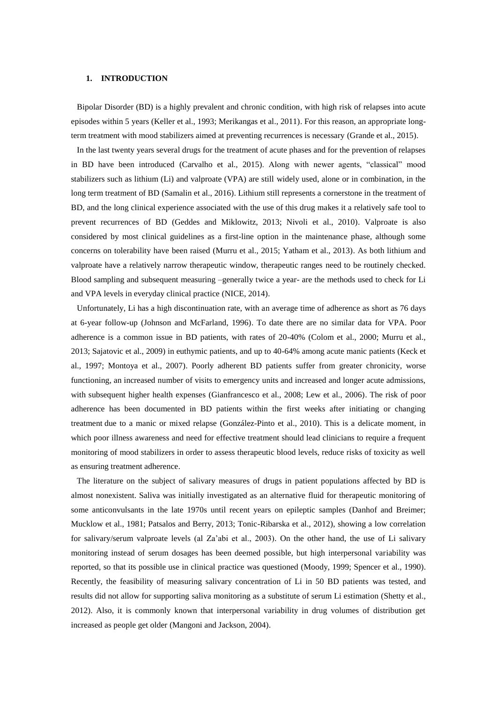# **1. INTRODUCTION**

Bipolar Disorder (BD) is a highly prevalent and chronic condition, with high risk of relapses into acute episodes within 5 years (Keller et al., 1993; Merikangas et al., 2011). For this reason, an appropriate longterm treatment with mood stabilizers aimed at preventing recurrences is necessary (Grande et al., 2015).

In the last twenty years several drugs for the treatment of acute phases and for the prevention of relapses in BD have been introduced (Carvalho et al., 2015). Along with newer agents, "classical" mood stabilizers such as lithium (Li) and valproate (VPA) are still widely used, alone or in combination, in the long term treatment of BD (Samalin et al., 2016). Lithium still represents a cornerstone in the treatment of BD, and the long clinical experience associated with the use of this drug makes it a relatively safe tool to prevent recurrences of BD (Geddes and Miklowitz, 2013; Nivoli et al., 2010). Valproate is also considered by most clinical guidelines as a first-line option in the maintenance phase, although some concerns on tolerability have been raised (Murru et al., 2015; Yatham et al., 2013). As both lithium and valproate have a relatively narrow therapeutic window, therapeutic ranges need to be routinely checked. Blood sampling and subsequent measuring –generally twice a year- are the methods used to check for Li and VPA levels in everyday clinical practice (NICE, 2014).

Unfortunately, Li has a high discontinuation rate, with an average time of adherence as short as 76 days at 6-year follow-up (Johnson and McFarland, 1996). To date there are no similar data for VPA. Poor adherence is a common issue in BD patients, with rates of 20-40% (Colom et al., 2000; Murru et al., 2013; Sajatovic et al., 2009) in euthymic patients, and up to 40-64% among acute manic patients (Keck et al., 1997; Montoya et al., 2007). Poorly adherent BD patients suffer from greater chronicity, worse functioning, an increased number of visits to emergency units and increased and longer acute admissions, with subsequent higher health expenses (Gianfrancesco et al., 2008; Lew et al., 2006). The risk of poor adherence has been documented in BD patients within the first weeks after initiating or changing treatment due to a manic or mixed relapse (González-Pinto et al., 2010). This is a delicate moment, in which poor illness awareness and need for effective treatment should lead clinicians to require a frequent monitoring of mood stabilizers in order to assess therapeutic blood levels, reduce risks of toxicity as well as ensuring treatment adherence.

The literature on the subject of salivary measures of drugs in patient populations affected by BD is almost nonexistent. Saliva was initially investigated as an alternative fluid for therapeutic monitoring of some anticonvulsants in the late 1970s until recent years on epileptic samples (Danhof and Breimer; Mucklow et al., 1981; Patsalos and Berry, 2013; Tonic-Ribarska et al., 2012), showing a low correlation for salivary/serum valproate levels (al Za'abi et al., 2003). On the other hand, the use of Li salivary monitoring instead of serum dosages has been deemed possible, but high interpersonal variability was reported, so that its possible use in clinical practice was questioned (Moody, 1999; Spencer et al., 1990). Recently, the feasibility of measuring salivary concentration of Li in 50 BD patients was tested, and results did not allow for supporting saliva monitoring as a substitute of serum Li estimation (Shetty et al., 2012). Also, it is commonly known that interpersonal variability in drug volumes of distribution get increased as people get older (Mangoni and Jackson, 2004).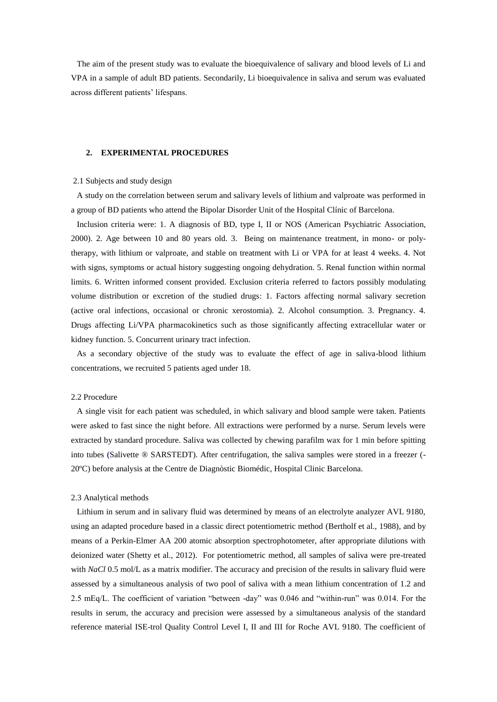The aim of the present study was to evaluate the bioequivalence of salivary and blood levels of Li and VPA in a sample of adult BD patients. Secondarily, Li bioequivalence in saliva and serum was evaluated across different patients' lifespans.

## **2. EXPERIMENTAL PROCEDURES**

# 2.1 Subjects and study design

A study on the correlation between serum and salivary levels of lithium and valproate was performed in a group of BD patients who attend the Bipolar Disorder Unit of the Hospital Clínic of Barcelona.

Inclusion criteria were: 1. A diagnosis of BD, type I, II or NOS (American Psychiatric Association, 2000). 2. Age between 10 and 80 years old. 3. Being on maintenance treatment, in mono- or polytherapy, with lithium or valproate, and stable on treatment with Li or VPA for at least 4 weeks. 4. Not with signs, symptoms or actual history suggesting ongoing dehydration. 5. Renal function within normal limits. 6. Written informed consent provided. Exclusion criteria referred to factors possibly modulating volume distribution or excretion of the studied drugs: 1. Factors affecting normal salivary secretion (active oral infections, occasional or chronic xerostomia). 2. Alcohol consumption. 3. Pregnancy. 4. Drugs affecting Li/VPA pharmacokinetics such as those significantly affecting extracellular water or kidney function. 5. Concurrent urinary tract infection.

As a secondary objective of the study was to evaluate the effect of age in saliva-blood lithium concentrations, we recruited 5 patients aged under 18.

## 2.2 Procedure

A single visit for each patient was scheduled, in which salivary and blood sample were taken. Patients were asked to fast since the night before. All extractions were performed by a nurse. Serum levels were extracted by standard procedure. Saliva was collected by chewing parafilm wax for 1 min before spitting into tubes **(**Salivette ® SARSTEDT). After centrifugation, the saliva samples were stored in a freezer (- 20ºC) before analysis at the Centre de Diagnòstic Biomédic, Hospital Clinic Barcelona.

#### 2.3 Analytical methods

Lithium in serum and in salivary fluid was determined by means of an electrolyte analyzer AVL 9180, using an adapted procedure based in a classic direct potentiometric method (Bertholf et al., 1988), and by means of a Perkin-Elmer AA 200 atomic absorption spectrophotometer, after appropriate dilutions with deionized water (Shetty et al., 2012). For potentiometric method, all samples of saliva were pre-treated with *NaCl* 0.5 mol/L as a matrix modifier. The accuracy and precision of the results in salivary fluid were assessed by a simultaneous analysis of two pool of saliva with a mean lithium concentration of 1.2 and 2.5 mEq/L. The coefficient of variation "between -day" was 0.046 and "within-run" was 0.014. For the results in serum, the accuracy and precision were assessed by a simultaneous analysis of the standard reference material ISE-trol Quality Control Level I, II and III for Roche AVL 9180. The coefficient of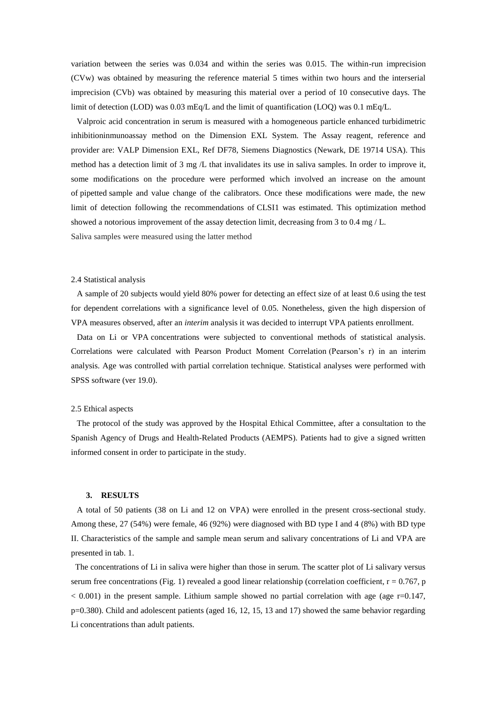variation between the series was 0.034 and within the series was 0.015. The within-run imprecision (CVw) was obtained by measuring the reference material 5 times within two hours and the interserial imprecision (CVb) was obtained by measuring this material over a period of 10 consecutive days. The limit of detection (LOD) was 0.03 mEq/L and the limit of quantification (LOQ) was 0.1 mEq/L.

Valproic acid concentration in serum is measured with a homogeneous particle enhanced turbidimetric inhibitioninmunoassay method on the Dimension EXL System. The Assay reagent, reference and provider are: VALP Dimension EXL, Ref DF78, Siemens Diagnostics (Newark, DE 19714 USA). This method has a detection limit of 3 mg  $/L$  that invalidates its use in saliva samples. In order to improve it, some modifications on the procedure were performed which involved an increase on the amount of pipetted sample and value change of the calibrators. Once these modifications were made, the new limit of detection following the recommendations of CLSI1 was estimated. This optimization method showed a notorious improvement of the assay detection limit, decreasing from 3 to 0.4 mg / L.

Saliva samples were measured using the latter method

#### 2.4 Statistical analysis

A sample of 20 subjects would yield 80% power for detecting an effect size of at least 0.6 using the test for dependent correlations with a significance level of 0.05. Nonetheless, given the high dispersion of VPA measures observed, after an *interim* analysis it was decided to interrupt VPA patients enrollment.

Data on Li or VPA concentrations were subjected to conventional methods of statistical analysis. Correlations were calculated with Pearson Product Moment Correlation (Pearson's r) in an interim analysis. Age was controlled with partial correlation technique. Statistical analyses were performed with SPSS software (ver 19.0).

### 2.5 Ethical aspects

The protocol of the study was approved by the Hospital Ethical Committee, after a consultation to the Spanish Agency of Drugs and Health-Related Products (AEMPS). Patients had to give a signed written informed consent in order to participate in the study.

#### **3. RESULTS**

A total of 50 patients (38 on Li and 12 on VPA) were enrolled in the present cross-sectional study. Among these, 27 (54%) were female, 46 (92%) were diagnosed with BD type I and 4 (8%) with BD type II. Characteristics of the sample and sample mean serum and salivary concentrations of Li and VPA are presented in tab. 1.

 The concentrations of Li in saliva were higher than those in serum. The scatter plot of Li salivary versus serum free concentrations (Fig. 1) revealed a good linear relationship (correlation coefficient,  $r = 0.767$ , p  $< 0.001$ ) in the present sample. Lithium sample showed no partial correlation with age (age  $r=0.147$ , p=0.380). Child and adolescent patients (aged 16, 12, 15, 13 and 17) showed the same behavior regarding Li concentrations than adult patients.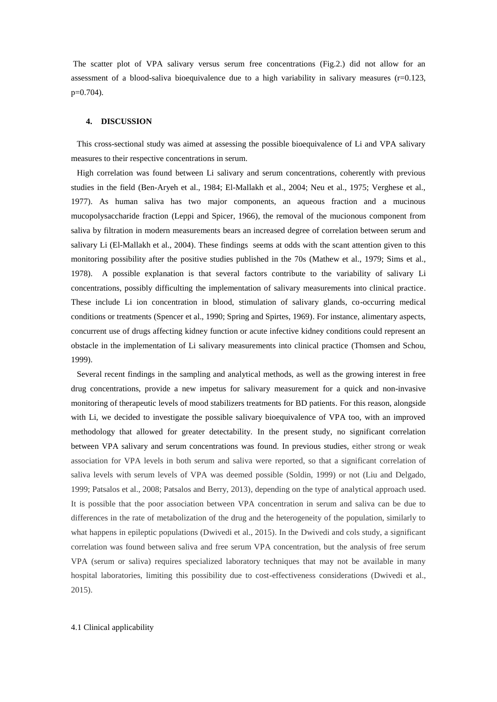The scatter plot of VPA salivary versus serum free concentrations (Fig.2.) did not allow for an assessment of a blood-saliva bioequivalence due to a high variability in salivary measures  $(r=0.123,$ p=0.704).

#### **4. DISCUSSION**

This cross-sectional study was aimed at assessing the possible bioequivalence of Li and VPA salivary measures to their respective concentrations in serum.

High correlation was found between Li salivary and serum concentrations, coherently with previous studies in the field (Ben-Aryeh et al., 1984; El-Mallakh et al., 2004; Neu et al., 1975; Verghese et al., 1977). As human saliva has two major components, an aqueous fraction and a mucinous mucopolysaccharide fraction (Leppi and Spicer, 1966), the removal of the mucionous component from saliva by filtration in modern measurements bears an increased degree of correlation between serum and salivary Li (El-Mallakh et al., 2004). These findings seems at odds with the scant attention given to this monitoring possibility after the positive studies published in the 70s (Mathew et al., 1979; Sims et al., 1978). A possible explanation is that several factors contribute to the variability of salivary Li concentrations, possibly difficulting the implementation of salivary measurements into clinical practice. These include Li ion concentration in blood, stimulation of salivary glands, co-occurring medical conditions or treatments (Spencer et al., 1990; Spring and Spirtes, 1969). For instance, alimentary aspects, concurrent use of drugs affecting kidney function or acute infective kidney conditions could represent an obstacle in the implementation of Li salivary measurements into clinical practice (Thomsen and Schou, 1999).

Several recent findings in the sampling and analytical methods, as well as the growing interest in free drug concentrations, provide a new impetus for salivary measurement for a quick and non-invasive monitoring of therapeutic levels of mood stabilizers treatments for BD patients. For this reason, alongside with Li, we decided to investigate the possible salivary bioequivalence of VPA too, with an improved methodology that allowed for greater detectability. In the present study, no significant correlation between VPA salivary and serum concentrations was found. In previous studies, either strong or weak association for VPA levels in both serum and saliva were reported, so that a significant correlation of saliva levels with serum levels of VPA was deemed possible (Soldin, 1999) or not (Liu and Delgado, 1999; Patsalos et al., 2008; Patsalos and Berry, 2013), depending on the type of analytical approach used. It is possible that the poor association between VPA concentration in serum and saliva can be due to differences in the rate of metabolization of the drug and the heterogeneity of the population, similarly to what happens in epileptic populations (Dwivedi et al., 2015). In the Dwivedi and cols study, a significant correlation was found between saliva and free serum VPA concentration, but the analysis of free serum VPA (serum or saliva) requires specialized laboratory techniques that may not be available in many hospital laboratories, limiting this possibility due to cost-effectiveness considerations (Dwivedi et al., 2015).

#### 4.1 Clinical applicability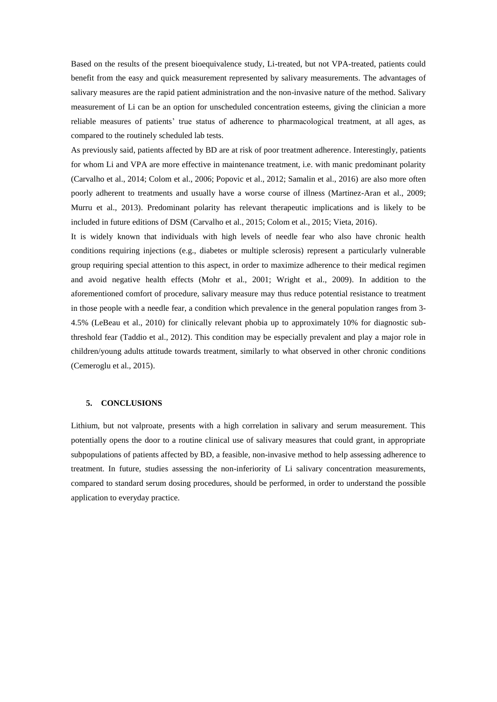Based on the results of the present bioequivalence study, Li-treated, but not VPA-treated, patients could benefit from the easy and quick measurement represented by salivary measurements. The advantages of salivary measures are the rapid patient administration and the non-invasive nature of the method. Salivary measurement of Li can be an option for unscheduled concentration esteems, giving the clinician a more reliable measures of patients' true status of adherence to pharmacological treatment, at all ages, as compared to the routinely scheduled lab tests.

As previously said, patients affected by BD are at risk of poor treatment adherence. Interestingly, patients for whom Li and VPA are more effective in maintenance treatment, i.e. with manic predominant polarity (Carvalho et al., 2014; Colom et al., 2006; Popovic et al., 2012; Samalin et al., 2016) are also more often poorly adherent to treatments and usually have a worse course of illness (Martinez-Aran et al., 2009; Murru et al., 2013). Predominant polarity has relevant therapeutic implications and is likely to be included in future editions of DSM (Carvalho et al., 2015; Colom et al., 2015; Vieta, 2016).

It is widely known that individuals with high levels of needle fear who also have chronic health conditions requiring injections (e.g., diabetes or multiple sclerosis) represent a particularly vulnerable group requiring special attention to this aspect, in order to maximize adherence to their medical regimen and avoid negative health effects (Mohr et al., 2001; Wright et al., 2009). In addition to the aforementioned comfort of procedure, salivary measure may thus reduce potential resistance to treatment in those people with a needle fear, a condition which prevalence in the general population ranges from 3- 4.5% (LeBeau et al., 2010) for clinically relevant phobia up to approximately 10% for diagnostic subthreshold fear (Taddio et al., 2012). This condition may be especially prevalent and play a major role in children/young adults attitude towards treatment, similarly to what observed in other chronic conditions (Cemeroglu et al., 2015).

#### **5. CONCLUSIONS**

Lithium, but not valproate, presents with a high correlation in salivary and serum measurement. This potentially opens the door to a routine clinical use of salivary measures that could grant, in appropriate subpopulations of patients affected by BD, a feasible, non-invasive method to help assessing adherence to treatment. In future, studies assessing the non-inferiority of Li salivary concentration measurements, compared to standard serum dosing procedures, should be performed, in order to understand the possible application to everyday practice.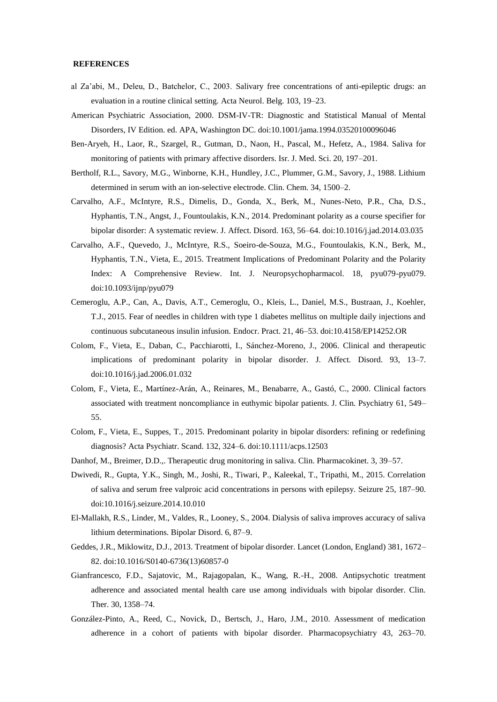## **REFERENCES**

- al Za'abi, M., Deleu, D., Batchelor, C., 2003. Salivary free concentrations of anti-epileptic drugs: an evaluation in a routine clinical setting. Acta Neurol. Belg. 103, 19–23.
- American Psychiatric Association, 2000. DSM-IV-TR: Diagnostic and Statistical Manual of Mental Disorders, IV Edition. ed. APA, Washington DC. doi:10.1001/jama.1994.03520100096046
- Ben-Aryeh, H., Laor, R., Szargel, R., Gutman, D., Naon, H., Pascal, M., Hefetz, A., 1984. Saliva for monitoring of patients with primary affective disorders. Isr. J. Med. Sci. 20, 197–201.
- Bertholf, R.L., Savory, M.G., Winborne, K.H., Hundley, J.C., Plummer, G.M., Savory, J., 1988. Lithium determined in serum with an ion-selective electrode. Clin. Chem. 34, 1500–2.
- Carvalho, A.F., McIntyre, R.S., Dimelis, D., Gonda, X., Berk, M., Nunes-Neto, P.R., Cha, D.S., Hyphantis, T.N., Angst, J., Fountoulakis, K.N., 2014. Predominant polarity as a course specifier for bipolar disorder: A systematic review. J. Affect. Disord. 163, 56–64. doi:10.1016/j.jad.2014.03.035
- Carvalho, A.F., Quevedo, J., McIntyre, R.S., Soeiro-de-Souza, M.G., Fountoulakis, K.N., Berk, M., Hyphantis, T.N., Vieta, E., 2015. Treatment Implications of Predominant Polarity and the Polarity Index: A Comprehensive Review. Int. J. Neuropsychopharmacol. 18, pyu079-pyu079. doi:10.1093/ijnp/pyu079
- Cemeroglu, A.P., Can, A., Davis, A.T., Cemeroglu, O., Kleis, L., Daniel, M.S., Bustraan, J., Koehler, T.J., 2015. Fear of needles in children with type 1 diabetes mellitus on multiple daily injections and continuous subcutaneous insulin infusion. Endocr. Pract. 21, 46–53. doi:10.4158/EP14252.OR
- Colom, F., Vieta, E., Daban, C., Pacchiarotti, I., Sánchez-Moreno, J., 2006. Clinical and therapeutic implications of predominant polarity in bipolar disorder. J. Affect. Disord. 93, 13–7. doi:10.1016/j.jad.2006.01.032
- Colom, F., Vieta, E., Martínez-Arán, A., Reinares, M., Benabarre, A., Gastó, C., 2000. Clinical factors associated with treatment noncompliance in euthymic bipolar patients. J. Clin. Psychiatry 61, 549– 55.
- Colom, F., Vieta, E., Suppes, T., 2015. Predominant polarity in bipolar disorders: refining or redefining diagnosis? Acta Psychiatr. Scand. 132, 324–6. doi:10.1111/acps.12503
- Danhof, M., Breimer, D.D.,. Therapeutic drug monitoring in saliva. Clin. Pharmacokinet. 3, 39–57.
- Dwivedi, R., Gupta, Y.K., Singh, M., Joshi, R., Tiwari, P., Kaleekal, T., Tripathi, M., 2015. Correlation of saliva and serum free valproic acid concentrations in persons with epilepsy. Seizure 25, 187–90. doi:10.1016/j.seizure.2014.10.010
- El-Mallakh, R.S., Linder, M., Valdes, R., Looney, S., 2004. Dialysis of saliva improves accuracy of saliva lithium determinations. Bipolar Disord. 6, 87–9.
- Geddes, J.R., Miklowitz, D.J., 2013. Treatment of bipolar disorder. Lancet (London, England) 381, 1672– 82. doi:10.1016/S0140-6736(13)60857-0
- Gianfrancesco, F.D., Sajatovic, M., Rajagopalan, K., Wang, R.-H., 2008. Antipsychotic treatment adherence and associated mental health care use among individuals with bipolar disorder. Clin. Ther. 30, 1358–74.
- González-Pinto, A., Reed, C., Novick, D., Bertsch, J., Haro, J.M., 2010. Assessment of medication adherence in a cohort of patients with bipolar disorder. Pharmacopsychiatry 43, 263–70.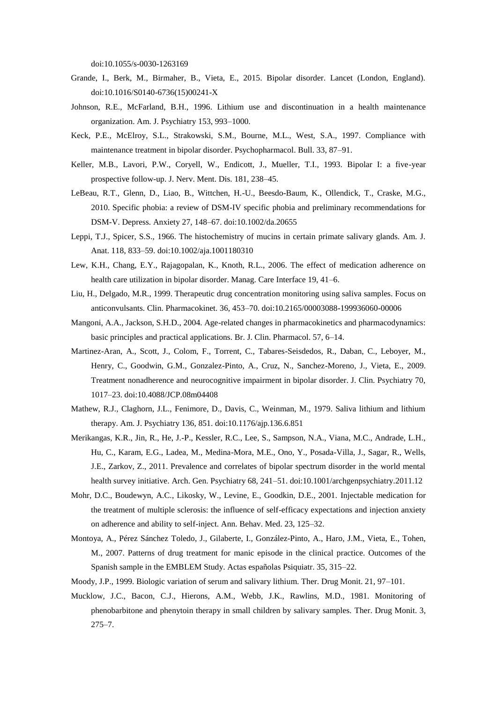doi:10.1055/s-0030-1263169

- Grande, I., Berk, M., Birmaher, B., Vieta, E., 2015. Bipolar disorder. Lancet (London, England). doi:10.1016/S0140-6736(15)00241-X
- Johnson, R.E., McFarland, B.H., 1996. Lithium use and discontinuation in a health maintenance organization. Am. J. Psychiatry 153, 993–1000.
- Keck, P.E., McElroy, S.L., Strakowski, S.M., Bourne, M.L., West, S.A., 1997. Compliance with maintenance treatment in bipolar disorder. Psychopharmacol. Bull. 33, 87–91.
- Keller, M.B., Lavori, P.W., Coryell, W., Endicott, J., Mueller, T.I., 1993. Bipolar I: a five-year prospective follow-up. J. Nerv. Ment. Dis. 181, 238–45.
- LeBeau, R.T., Glenn, D., Liao, B., Wittchen, H.-U., Beesdo-Baum, K., Ollendick, T., Craske, M.G., 2010. Specific phobia: a review of DSM-IV specific phobia and preliminary recommendations for DSM-V. Depress. Anxiety 27, 148–67. doi:10.1002/da.20655
- Leppi, T.J., Spicer, S.S., 1966. The histochemistry of mucins in certain primate salivary glands. Am. J. Anat. 118, 833–59. doi:10.1002/aja.1001180310
- Lew, K.H., Chang, E.Y., Rajagopalan, K., Knoth, R.L., 2006. The effect of medication adherence on health care utilization in bipolar disorder. Manag. Care Interface 19, 41–6.
- Liu, H., Delgado, M.R., 1999. Therapeutic drug concentration monitoring using saliva samples. Focus on anticonvulsants. Clin. Pharmacokinet. 36, 453–70. doi:10.2165/00003088-199936060-00006
- Mangoni, A.A., Jackson, S.H.D., 2004. Age-related changes in pharmacokinetics and pharmacodynamics: basic principles and practical applications. Br. J. Clin. Pharmacol. 57, 6–14.
- Martinez-Aran, A., Scott, J., Colom, F., Torrent, C., Tabares-Seisdedos, R., Daban, C., Leboyer, M., Henry, C., Goodwin, G.M., Gonzalez-Pinto, A., Cruz, N., Sanchez-Moreno, J., Vieta, E., 2009. Treatment nonadherence and neurocognitive impairment in bipolar disorder. J. Clin. Psychiatry 70, 1017–23. doi:10.4088/JCP.08m04408
- Mathew, R.J., Claghorn, J.L., Fenimore, D., Davis, C., Weinman, M., 1979. Saliva lithium and lithium therapy. Am. J. Psychiatry 136, 851. doi:10.1176/ajp.136.6.851
- Merikangas, K.R., Jin, R., He, J.-P., Kessler, R.C., Lee, S., Sampson, N.A., Viana, M.C., Andrade, L.H., Hu, C., Karam, E.G., Ladea, M., Medina-Mora, M.E., Ono, Y., Posada-Villa, J., Sagar, R., Wells, J.E., Zarkov, Z., 2011. Prevalence and correlates of bipolar spectrum disorder in the world mental health survey initiative. Arch. Gen. Psychiatry 68, 241-51. doi:10.1001/archgenpsychiatry.2011.12
- Mohr, D.C., Boudewyn, A.C., Likosky, W., Levine, E., Goodkin, D.E., 2001. Injectable medication for the treatment of multiple sclerosis: the influence of self-efficacy expectations and injection anxiety on adherence and ability to self-inject. Ann. Behav. Med. 23, 125–32.
- Montoya, A., Pérez Sánchez Toledo, J., Gilaberte, I., González-Pinto, A., Haro, J.M., Vieta, E., Tohen, M., 2007. Patterns of drug treatment for manic episode in the clinical practice. Outcomes of the Spanish sample in the EMBLEM Study. Actas españolas Psiquiatr. 35, 315–22.
- Moody, J.P., 1999. Biologic variation of serum and salivary lithium. Ther. Drug Monit. 21, 97–101.
- Mucklow, J.C., Bacon, C.J., Hierons, A.M., Webb, J.K., Rawlins, M.D., 1981. Monitoring of phenobarbitone and phenytoin therapy in small children by salivary samples. Ther. Drug Monit. 3, 275–7.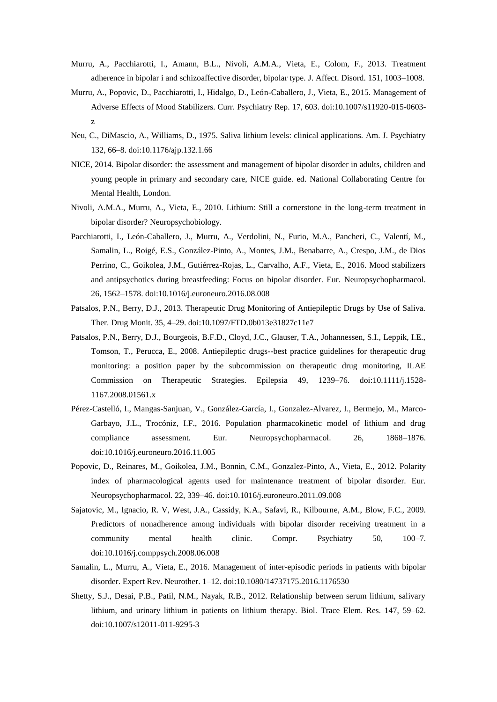- Murru, A., Pacchiarotti, I., Amann, B.L., Nivoli, A.M.A., Vieta, E., Colom, F., 2013. Treatment adherence in bipolar i and schizoaffective disorder, bipolar type. J. Affect. Disord. 151, 1003–1008.
- Murru, A., Popovic, D., Pacchiarotti, I., Hidalgo, D., León-Caballero, J., Vieta, E., 2015. Management of Adverse Effects of Mood Stabilizers. Curr. Psychiatry Rep. 17, 603. doi:10.1007/s11920-015-0603 z
- Neu, C., DiMascio, A., Williams, D., 1975. Saliva lithium levels: clinical applications. Am. J. Psychiatry 132, 66–8. doi:10.1176/ajp.132.1.66
- NICE, 2014. Bipolar disorder: the assessment and management of bipolar disorder in adults, children and young people in primary and secondary care, NICE guide. ed. National Collaborating Centre for Mental Health, London.
- Nivoli, A.M.A., Murru, A., Vieta, E., 2010. Lithium: Still a cornerstone in the long-term treatment in bipolar disorder? Neuropsychobiology.
- Pacchiarotti, I., León-Caballero, J., Murru, A., Verdolini, N., Furio, M.A., Pancheri, C., Valentí, M., Samalin, L., Roigé, E.S., González-Pinto, A., Montes, J.M., Benabarre, A., Crespo, J.M., de Dios Perrino, C., Goikolea, J.M., Gutiérrez-Rojas, L., Carvalho, A.F., Vieta, E., 2016. Mood stabilizers and antipsychotics during breastfeeding: Focus on bipolar disorder. Eur. Neuropsychopharmacol. 26, 1562–1578. doi:10.1016/j.euroneuro.2016.08.008
- Patsalos, P.N., Berry, D.J., 2013. Therapeutic Drug Monitoring of Antiepileptic Drugs by Use of Saliva. Ther. Drug Monit. 35, 4–29. doi:10.1097/FTD.0b013e31827c11e7
- Patsalos, P.N., Berry, D.J., Bourgeois, B.F.D., Cloyd, J.C., Glauser, T.A., Johannessen, S.I., Leppik, I.E., Tomson, T., Perucca, E., 2008. Antiepileptic drugs--best practice guidelines for therapeutic drug monitoring: a position paper by the subcommission on therapeutic drug monitoring, ILAE Commission on Therapeutic Strategies. Epilepsia 49, 1239–76. doi:10.1111/j.1528- 1167.2008.01561.x
- Pérez-Castelló, I., Mangas-Sanjuan, V., González-García, I., Gonzalez-Alvarez, I., Bermejo, M., Marco-Garbayo, J.L., Trocóniz, I.F., 2016. Population pharmacokinetic model of lithium and drug compliance assessment. Eur. Neuropsychopharmacol. 26, 1868–1876. doi:10.1016/j.euroneuro.2016.11.005
- Popovic, D., Reinares, M., Goikolea, J.M., Bonnin, C.M., Gonzalez-Pinto, A., Vieta, E., 2012. Polarity index of pharmacological agents used for maintenance treatment of bipolar disorder. Eur. Neuropsychopharmacol. 22, 339–46. doi:10.1016/j.euroneuro.2011.09.008
- Sajatovic, M., Ignacio, R. V, West, J.A., Cassidy, K.A., Safavi, R., Kilbourne, A.M., Blow, F.C., 2009. Predictors of nonadherence among individuals with bipolar disorder receiving treatment in a community mental health clinic. Compr. Psychiatry 50, 100–7. doi:10.1016/j.comppsych.2008.06.008
- Samalin, L., Murru, A., Vieta, E., 2016. Management of inter-episodic periods in patients with bipolar disorder. Expert Rev. Neurother. 1–12. doi:10.1080/14737175.2016.1176530
- Shetty, S.J., Desai, P.B., Patil, N.M., Nayak, R.B., 2012. Relationship between serum lithium, salivary lithium, and urinary lithium in patients on lithium therapy. Biol. Trace Elem. Res. 147, 59–62. doi:10.1007/s12011-011-9295-3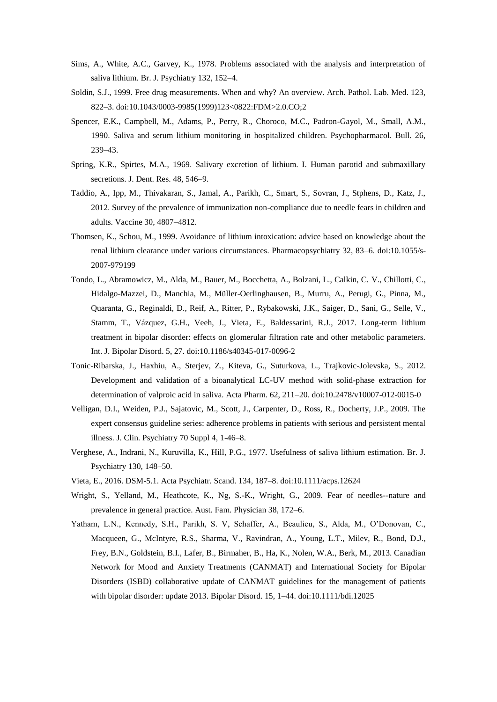- Sims, A., White, A.C., Garvey, K., 1978. Problems associated with the analysis and interpretation of saliva lithium. Br. J. Psychiatry 132, 152–4.
- Soldin, S.J., 1999. Free drug measurements. When and why? An overview. Arch. Pathol. Lab. Med. 123, 822–3. doi:10.1043/0003-9985(1999)123<0822:FDM>2.0.CO;2
- Spencer, E.K., Campbell, M., Adams, P., Perry, R., Choroco, M.C., Padron-Gayol, M., Small, A.M., 1990. Saliva and serum lithium monitoring in hospitalized children. Psychopharmacol. Bull. 26, 239–43.
- Spring, K.R., Spirtes, M.A., 1969. Salivary excretion of lithium. I. Human parotid and submaxillary secretions. J. Dent. Res. 48, 546–9.
- Taddio, A., Ipp, M., Thivakaran, S., Jamal, A., Parikh, C., Smart, S., Sovran, J., Stphens, D., Katz, J., 2012. Survey of the prevalence of immunization non-compliance due to needle fears in children and adults. Vaccine 30, 4807–4812.
- Thomsen, K., Schou, M., 1999. Avoidance of lithium intoxication: advice based on knowledge about the renal lithium clearance under various circumstances. Pharmacopsychiatry 32, 83–6. doi:10.1055/s-2007-979199
- Tondo, L., Abramowicz, M., Alda, M., Bauer, M., Bocchetta, A., Bolzani, L., Calkin, C. V., Chillotti, C., Hidalgo-Mazzei, D., Manchia, M., Müller-Oerlinghausen, B., Murru, A., Perugi, G., Pinna, M., Quaranta, G., Reginaldi, D., Reif, A., Ritter, P., Rybakowski, J.K., Saiger, D., Sani, G., Selle, V., Stamm, T., Vázquez, G.H., Veeh, J., Vieta, E., Baldessarini, R.J., 2017. Long-term lithium treatment in bipolar disorder: effects on glomerular filtration rate and other metabolic parameters. Int. J. Bipolar Disord. 5, 27. doi:10.1186/s40345-017-0096-2
- Tonic-Ribarska, J., Haxhiu, A., Sterjev, Z., Kiteva, G., Suturkova, L., Trajkovic-Jolevska, S., 2012. Development and validation of a bioanalytical LC-UV method with solid-phase extraction for determination of valproic acid in saliva. Acta Pharm. 62, 211–20. doi:10.2478/v10007-012-0015-0
- Velligan, D.I., Weiden, P.J., Sajatovic, M., Scott, J., Carpenter, D., Ross, R., Docherty, J.P., 2009. The expert consensus guideline series: adherence problems in patients with serious and persistent mental illness. J. Clin. Psychiatry 70 Suppl 4, 1-46–8.
- Verghese, A., Indrani, N., Kuruvilla, K., Hill, P.G., 1977. Usefulness of saliva lithium estimation. Br. J. Psychiatry 130, 148–50.
- Vieta, E., 2016. DSM-5.1. Acta Psychiatr. Scand. 134, 187–8. doi:10.1111/acps.12624
- Wright, S., Yelland, M., Heathcote, K., Ng, S.-K., Wright, G., 2009. Fear of needles--nature and prevalence in general practice. Aust. Fam. Physician 38, 172–6.
- Yatham, L.N., Kennedy, S.H., Parikh, S. V, Schaffer, A., Beaulieu, S., Alda, M., O'Donovan, C., Macqueen, G., McIntyre, R.S., Sharma, V., Ravindran, A., Young, L.T., Milev, R., Bond, D.J., Frey, B.N., Goldstein, B.I., Lafer, B., Birmaher, B., Ha, K., Nolen, W.A., Berk, M., 2013. Canadian Network for Mood and Anxiety Treatments (CANMAT) and International Society for Bipolar Disorders (ISBD) collaborative update of CANMAT guidelines for the management of patients with bipolar disorder: update 2013. Bipolar Disord. 15, 1–44. doi:10.1111/bdi.12025